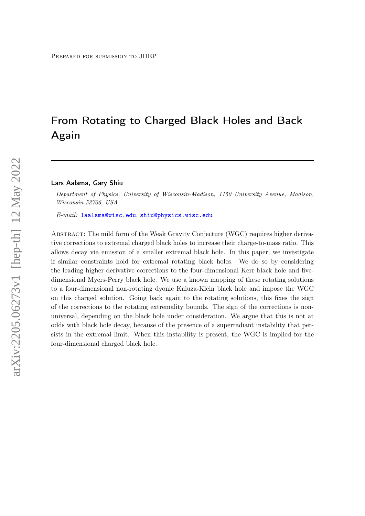# From Rotating to Charged Black Holes and Back Again

#### Lars Aalsma, Gary Shiu

Department of Physics, University of Wisconsin-Madison, 1150 University Avenue, Madison, Wisconsin 53706, USA

E-mail: [laalsma@wisc.edu](mailto:laalsma@wisc.edu), [shiu@physics.wisc.edu](mailto:shiu@physics.wisc.edu)

Abstract: The mild form of the Weak Gravity Conjecture (WGC) requires higher derivative corrections to extremal charged black holes to increase their charge-to-mass ratio. This allows decay via emission of a smaller extremal black hole. In this paper, we investigate if similar constraints hold for extremal rotating black holes. We do so by considering the leading higher derivative corrections to the four-dimensional Kerr black hole and fivedimensional Myers-Perry black hole. We use a known mapping of these rotating solutions to a four-dimensional non-rotating dyonic Kaluza-Klein black hole and impose the WGC on this charged solution. Going back again to the rotating solutions, this fixes the sign of the corrections to the rotating extremality bounds. The sign of the corrections is nonuniversal, depending on the black hole under consideration. We argue that this is not at odds with black hole decay, because of the presence of a superradiant instability that persists in the extremal limit. When this instability is present, the WGC is implied for the four-dimensional charged black hole.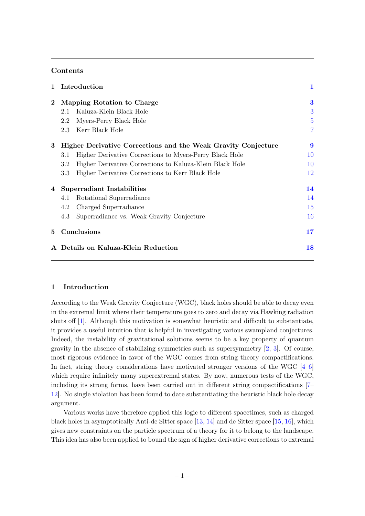# Contents

| $\mathbf{1}$ | Introduction                                                    |                |
|--------------|-----------------------------------------------------------------|----------------|
| $\bf{2}$     | Mapping Rotation to Charge                                      | 3              |
|              | Kaluza-Klein Black Hole<br>2.1                                  | 3              |
|              | Myers-Perry Black Hole<br>2.2                                   | 5              |
|              | Kerr Black Hole<br>2.3                                          | $\overline{7}$ |
| 3            | Higher Derivative Corrections and the Weak Gravity Conjecture   | 9              |
|              | Higher Derivative Corrections to Myers-Perry Black Hole<br>3.1  | 10             |
|              | Higher Derivative Corrections to Kaluza-Klein Black Hole<br>3.2 | 10             |
|              | Higher Derivative Corrections to Kerr Black Hole<br>3.3         | 12             |
| 4            | Superradiant Instabilities                                      | 14             |
|              | Rotational Superradiance<br>4.1                                 | 14             |
|              | Charged Superradiance<br>4.2                                    | 15             |
|              | 4.3<br>Superradiance vs. Weak Gravity Conjecture                | 16             |
| 5            | Conclusions                                                     | 17             |
|              | Details on Kaluza-Klein Reduction                               |                |
|              |                                                                 |                |

# <span id="page-1-0"></span>1 Introduction

According to the Weak Gravity Conjecture (WGC), black holes should be able to decay even in the extremal limit where their temperature goes to zero and decay via Hawking radiation shuts off [\[1\]](#page-19-0). Although this motivation is somewhat heuristic and difficult to substantiate, it provides a useful intuition that is helpful in investigating various swampland conjectures. Indeed, the instability of gravitational solutions seems to be a key property of quantum gravity in the absence of stabilizing symmetries such as supersymmetry [\[2,](#page-20-0) [3\]](#page-20-1). Of course, most rigorous evidence in favor of the WGC comes from string theory compactifications. In fact, string theory considerations have motivated stronger versions of the WGC  $[4-6]$  $[4-6]$ which require infinitely many superextremal states. By now, numerous tests of the WGC, including its strong forms, have been carried out in different string compactifications [\[7–](#page-20-4) [12\]](#page-20-5). No single violation has been found to date substantiating the heuristic black hole decay argument.

Various works have therefore applied this logic to different spacetimes, such as charged black holes in asymptotically Anti-de Sitter space [\[13,](#page-20-6) [14\]](#page-20-7) and de Sitter space [\[15,](#page-20-8) [16\]](#page-20-9), which gives new constraints on the particle spectrum of a theory for it to belong to the landscape. This idea has also been applied to bound the sign of higher derivative corrections to extremal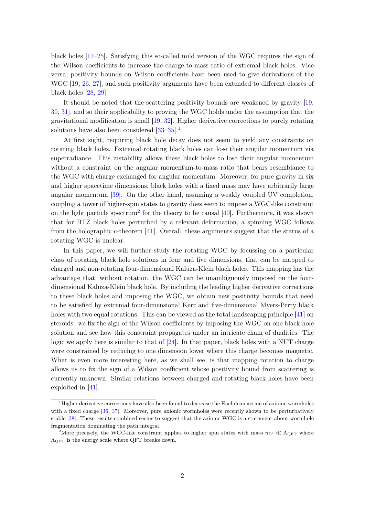black holes [\[17](#page-20-10)[–25\]](#page-21-0). Satisfying this so-called mild version of the WGC requires the sign of the Wilson coefficients to increase the charge-to-mass ratio of extremal black holes. Vice versa, positivity bounds on Wilson coefficients have been used to give derivations of the WGC [\[19,](#page-20-11) [26,](#page-21-1) [27\]](#page-21-2), and such positivity arguments have been extended to different classes of black holes [\[28,](#page-21-3) [29\]](#page-21-4).

It should be noted that the scattering positivity bounds are weakened by gravity [\[19,](#page-20-11) [30,](#page-21-5) [31\]](#page-21-6), and so their applicability to proving the WGC holds under the assumption that the gravitational modification is small [\[19,](#page-20-11) [32\]](#page-21-7). Higher derivative corrections to purely rotating solutions have also been considered  $[33-35]$  $[33-35]$ .<sup>[1](#page-2-0)</sup>

At first sight, requiring black hole decay does not seem to yield any constraints on rotating black holes. Extremal rotating black holes can lose their angular momentum via superradiance. This instability allows these black holes to lose their angular momentum without a constraint on the angular momentum-to-mass ratio that bears resemblance to the WGC with charge exchanged for angular momentum. Moreover, for pure gravity in six and higher spacetime dimensions, black holes with a fixed mass may have arbitrarily large angular momentum [\[39\]](#page-21-10). On the other hand, assuming a weakly coupled UV completion, coupling a tower of higher-spin states to gravity does seem to impose a WGC-like constraint on the light particle spectrum<sup>[2](#page-2-1)</sup> for the theory to be causal  $[40]$ . Furthermore, it was shown that for BTZ black holes perturbed by a relevant deformation, a spinning WGC follows from the holographic c-theorem [\[41\]](#page-22-0). Overall, these arguments suggest that the status of a rotating WGC is unclear.

In this paper, we will further study the rotating WGC by focussing on a particular class of rotating black hole solutions in four and five dimensions, that can be mapped to charged and non-rotating four-dimensional Kaluza-Klein black holes. This mapping has the advantage that, without rotation, the WGC can be unambiguously imposed on the fourdimensional Kaluza-Klein black hole. By including the leading higher derivative corrections to these black holes and imposing the WGC, we obtain new positivity bounds that need to be satisfied by extremal four-dimensional Kerr and five-dimensional Myers-Perry black holes with two equal rotations. This can be viewed as the total landscaping principle [\[41\]](#page-22-0) on steroids: we fix the sign of the Wilson coefficients by imposing the WGC on one black hole solution and see how this constraint propagates under an intricate chain of dualities. The logic we apply here is similar to that of [\[24\]](#page-21-12). In that paper, black holes with a NUT charge were constrained by reducing to one dimension lower where this charge becomes magnetic. What is even more interesting here, as we shall see, is that mapping rotation to charge allows us to fix the sign of a Wilson coefficient whose positivity bound from scattering is currently unknown. Similar relations between charged and rotating black holes have been exploited in [\[41\]](#page-22-0).

<span id="page-2-0"></span><sup>&</sup>lt;sup>1</sup>Higher derivative corrections have also been found to decrease the Euclidean action of axionic wormholes with a fixed charge [\[36,](#page-21-13) [37\]](#page-21-14). Moreover, pure axionic wormholes were recently shown to be perturbatively stable [\[38\]](#page-21-15). These results combined seems to suggest that the axionic WGC is a statement about wormhole fragmentation dominating the path integral

<span id="page-2-1"></span><sup>&</sup>lt;sup>2</sup>More precisely, the WGC-like constraint applies to higher spin states with mass  $m<sub>J</sub> \ll \Lambda_{\text{QFT}}$  where  $\Lambda$ <sub>OFT</sub> is the energy scale where QFT breaks down.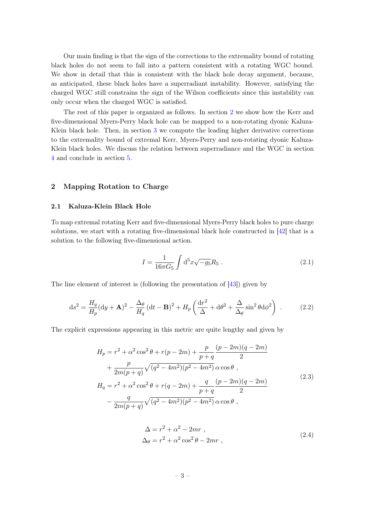Our main finding is that the sign of the corrections to the extremality bound of rotating black holes do not seem to fall into a pattern consistent with a rotating WGC bound. We show in detail that this is consistent with the black hole decay argument, because, as anticipated, these black holes have a superradiant instability. However, satisfying the charged WGC still constrains the sign of the Wilson coefficients since this instability can only occur when the charged WGC is satisfied.

The rest of this paper is organized as follows. In section [2](#page-3-0) we show how the Kerr and five-dimensional Myers-Perry black hole can be mapped to a non-rotating dyonic Kaluza-Klein black hole. Then, in section [3](#page-9-0) we compute the leading higher derivative corrections to the extremality bound of extremal Kerr, Myers-Perry and non-rotating dyonic Kaluza-Klein black holes. We discuss the relation between superradiance and the WGC in section [4](#page-14-0) and conclude in section [5.](#page-17-0)

# <span id="page-3-0"></span>2 Mapping Rotation to Charge

## <span id="page-3-1"></span>2.1 Kaluza-Klein Black Hole

To map extremal rotating Kerr and five-dimensional Myers-Perry black holes to pure charge solutions, we start with a rotating five-dimensional black hole constructed in [\[42\]](#page-22-1) that is a solution to the following five-dimensional action.

$$
I = \frac{1}{16\pi G_5} \int d^5 x \sqrt{-g_5} R_5 . \qquad (2.1)
$$

The line element of interest is (following the presentation of [\[43\]](#page-22-2)) given by

<span id="page-3-2"></span>
$$
ds^{2} = \frac{H_{q}}{H_{p}}(dy + A)^{2} - \frac{\Delta_{\theta}}{H_{q}}(dt - B)^{2} + H_{p}\left(\frac{dr^{2}}{\Delta} + d\theta^{2} + \frac{\Delta}{\Delta_{\theta}}\sin^{2}\theta d\phi^{2}\right)
$$
 (2.2)

The explicit expressions appearing in this metric are quite lengthy and given by

$$
H_p = r^2 + \alpha^2 \cos^2 \theta + r(p - 2m) + \frac{p}{p+q} \frac{(p-2m)(q-2m)}{2} + \frac{p}{2m(p+q)} \sqrt{(q^2 - 4m^2)(p^2 - 4m^2)} \alpha \cos \theta ,H_q = r^2 + \alpha^2 \cos^2 \theta + r(q - 2m) + \frac{q}{p+q} \frac{(p-2m)(q-2m)}{2} - \frac{q}{2m(p+q)} \sqrt{(q^2 - 4m^2)(p^2 - 4m^2)} \alpha \cos \theta ,
$$
\n(2.3)

$$
\Delta = r^2 + \alpha^2 - 2mr ,
$$
  
\n
$$
\Delta_{\theta} = r^2 + \alpha^2 \cos^2 \theta - 2mr ,
$$
\n(2.4)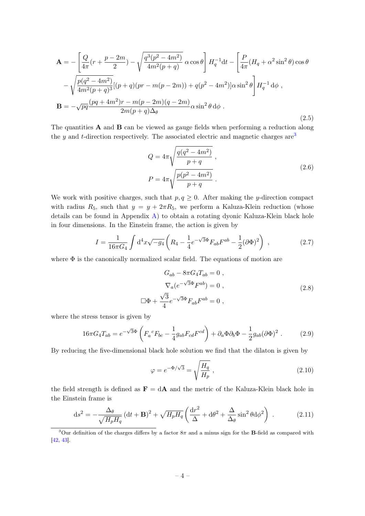$$
\mathbf{A} = -\left[\frac{Q}{4\pi}(r + \frac{p - 2m}{2}) - \sqrt{\frac{q^3(p^2 - 4m^2)}{4m^2(p + q)}}\,\alpha\cos\theta\right] H_q^{-1} \mathrm{d}t - \left[\frac{P}{4\pi}(H_q + \alpha^2\sin^2\theta)\cos\theta\right] \\
- \sqrt{\frac{p(q^2 - 4m^2)}{4m^2(p + q)^3}} [(p + q)(pr - m(p - 2m)) + q(p^2 - 4m^2)]\alpha\sin^2\theta\right] H_q^{-1} \mathrm{d}\phi , \\
\mathbf{B} = -\sqrt{pq}\frac{(pq + 4m^2)r - m(p - 2m)(q - 2m)}{2m(p + q)\Delta_\theta}\alpha\sin^2\theta \,\mathrm{d}\phi .
$$
\n(2.5)

The quantities A and B can be viewed as gauge fields when performing a reduction along the y and t-direction respectively. The associated electric and magnetic charges  $are^3$  $are^3$ 

$$
Q = 4\pi \sqrt{\frac{q(q^2 - 4m^2)}{p+q}},
$$
  
\n
$$
P = 4\pi \sqrt{\frac{p(p^2 - 4m^2)}{p+q}}.
$$
\n(2.6)

We work with positive charges, such that  $p, q \geq 0$ . After making the y-direction compact with radius  $R_5$ , such that  $y = y + 2\pi R_5$ , we perform a Kaluza-Klein reduction (whose details can be found in Appendix [A\)](#page-18-0) to obtain a rotating dyonic Kaluza-Klein black hole in four dimensions. In the Einstein frame, the action is given by

$$
I = \frac{1}{16\pi G_4} \int d^4x \sqrt{-g_4} \left( R_4 - \frac{1}{4} e^{-\sqrt{3}\Phi} F_{ab} F^{ab} - \frac{1}{2} (\partial \Phi)^2 \right) , \qquad (2.7)
$$

where  $\Phi$  is the canonically normalized scalar field. The equations of motion are

<span id="page-4-1"></span>
$$
G_{ab} - 8\pi G_4 T_{ab} = 0 ,
$$
  
\n
$$
\nabla_a (e^{-\sqrt{3}\Phi} F^{ab}) = 0 ,
$$
  
\n
$$
\Box \Phi + \frac{\sqrt{3}}{4} e^{-\sqrt{3}\Phi} F_{ab} F^{ab} = 0 ,
$$
\n(2.8)

where the stress tensor is given by

$$
16\pi G_4 T_{ab} = e^{-\sqrt{3}\Phi} \left( F_a{}^c F_{bc} - \frac{1}{4} g_{ab} F_{cd} F^{cd} \right) + \partial_a \Phi \partial_b \Phi - \frac{1}{2} g_{ab} (\partial \Phi)^2 . \tag{2.9}
$$

By reducing the five-dimensional black hole solution we find that the dilaton is given by

$$
\varphi = e^{-\Phi/\sqrt{3}} = \sqrt{\frac{H_q}{H_p}} \,, \tag{2.10}
$$

the field strength is defined as  $\mathbf{F} = d\mathbf{A}$  and the metric of the Kaluza-Klein black hole in the Einstein frame is

$$
ds^{2} = -\frac{\Delta_{\theta}}{\sqrt{H_{p}H_{q}}} \left(dt + \mathbf{B}\right)^{2} + \sqrt{H_{p}H_{q}} \left(\frac{dr^{2}}{\Delta} + d\theta^{2} + \frac{\Delta}{\Delta_{\theta}}\sin^{2}\theta d\phi^{2}\right) .
$$
 (2.11)

<span id="page-4-0"></span><sup>&</sup>lt;sup>3</sup>Our definition of the charges differs by a factor  $8\pi$  and a minus sign for the **B**-field as compared with [\[42,](#page-22-1) [43\]](#page-22-2).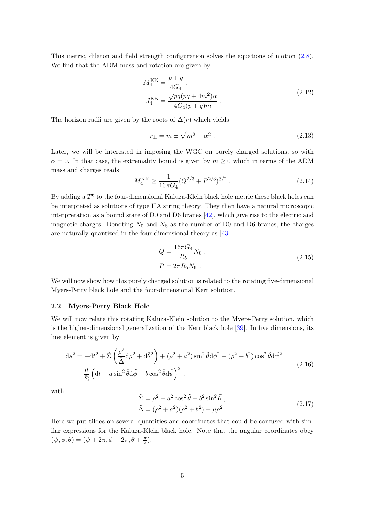This metric, dilaton and field strength configuration solves the equations of motion [\(2.8\)](#page-4-1). We find that the ADM mass and rotation are given by

$$
M_4^{\rm KK} = \frac{p+q}{4G_4} ,
$$
  
\n
$$
J_4^{\rm KK} = \frac{\sqrt{pq}(pq+4m^2)\alpha}{4G_4(p+q)m} .
$$
\n(2.12)

The horizon radii are given by the roots of  $\Delta(r)$  which yields

$$
r_{\pm} = m \pm \sqrt{m^2 - \alpha^2} \tag{2.13}
$$

Later, we will be interested in imposing the WGC on purely charged solutions, so with  $\alpha = 0$ . In that case, the extremality bound is given by  $m \geq 0$  which in terms of the ADM mass and charges reads

$$
M_4^{\rm KK} \ge \frac{1}{16\pi G_4} (Q^{2/3} + P^{2/3})^{3/2} . \tag{2.14}
$$

By adding a  $T^6$  to the four-dimensional Kaluza-Klein black hole metric these black holes can be interpreted as solutions of type IIA string theory. They then have a natural microscopic interpretation as a bound state of D0 and D6 branes [\[42\]](#page-22-1), which give rise to the electric and magnetic charges. Denoting  $N_0$  and  $N_6$  as the number of D0 and D6 branes, the charges are naturally quantized in the four-dimensional theory as [\[43\]](#page-22-2)

<span id="page-5-2"></span>
$$
Q = \frac{16\pi G_4}{R_5} N_0 ,
$$
  
\n
$$
P = 2\pi R_5 N_6 .
$$
\n(2.15)

We will now show how this purely charged solution is related to the rotating five-dimensional Myers-Perry black hole and the four-dimensional Kerr solution.

## <span id="page-5-0"></span>2.2 Myers-Perry Black Hole

We will now relate this rotating Kaluza-Klein solution to the Myers-Perry solution, which is the higher-dimensional generalization of the Kerr black hole [\[39\]](#page-21-10). In five dimensions, its line element is given by

<span id="page-5-1"></span>
$$
ds^{2} = -dt^{2} + \tilde{\Sigma} \left(\frac{\rho^{2}}{\tilde{\Delta}} d\rho^{2} + d\tilde{\theta}^{2}\right) + (\rho^{2} + a^{2}) \sin^{2} \tilde{\theta} d\phi^{2} + (\rho^{2} + b^{2}) \cos^{2} \tilde{\theta} d\tilde{\psi}^{2} + \frac{\mu}{\tilde{\Sigma}} \left(dt - a \sin^{2} \tilde{\theta} d\tilde{\phi} - b \cos^{2} \tilde{\theta} d\tilde{\psi}\right)^{2},
$$
\n(2.16)

with

$$
\tilde{\Sigma} = \rho^2 + a^2 \cos^2 \tilde{\theta} + b^2 \sin^2 \tilde{\theta} ,
$$
  
\n
$$
\tilde{\Delta} = (\rho^2 + a^2)(\rho^2 + b^2) - \mu \rho^2 .
$$
\n(2.17)

Here we put tildes on several quantities and coordinates that could be confused with similar expressions for the Kaluza-Klein black hole. Note that the angular coordinates obey  $(\tilde{\psi}, \tilde{\phi}, \tilde{\theta}) = (\tilde{\psi} + 2\pi, \tilde{\phi} + 2\pi, \tilde{\theta} + \frac{\pi}{2})$  $\frac{\pi}{2}$ .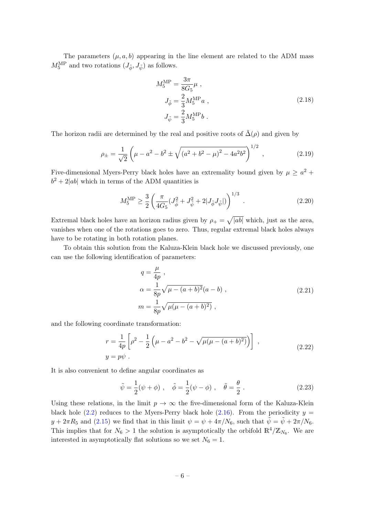The parameters  $(\mu, a, b)$  appearing in the line element are related to the ADM mass  $M_5^{\mathrm{MP}}$  and two rotations  $(J_{\tilde{\phi}}, J_{\tilde{\psi}})$  as follows.

$$
M_5^{\rm MP} = \frac{3\pi}{8G_5}\mu ,
$$
  
\n
$$
J_{\tilde{\phi}} = \frac{2}{3}M_5^{\rm MP}a ,
$$
  
\n
$$
J_{\tilde{\psi}} = \frac{2}{3}M_5^{\rm MP}b .
$$
\n(2.18)

The horizon radii are determined by the real and positive roots of  $\tilde{\Delta}(\rho)$  and given by

$$
\rho_{\pm} = \frac{1}{\sqrt{2}} \left( \mu - a^2 - b^2 \pm \sqrt{\left(a^2 + b^2 - \mu\right)^2 - 4a^2 b^2} \right)^{1/2},\tag{2.19}
$$

Five-dimensional Myers-Perry black holes have an extremality bound given by  $\mu \geq a^2 +$  $b^2 + 2|ab|$  which in terms of the ADM quantities is

$$
M_5^{\rm MP} \ge \frac{3}{2} \left( \frac{\pi}{4G_5} (J_{\tilde{\phi}}^2 + J_{\tilde{\psi}}^2 + 2|J_{\tilde{\phi}} J_{\tilde{\psi}}|) \right)^{1/3} . \tag{2.20}
$$

Extremal black holes have an horizon radius given by  $\rho_+ = \sqrt{|ab|}$  which, just as the area, vanishes when one of the rotations goes to zero. Thus, regular extremal black holes always have to be rotating in both rotation planes.

To obtain this solution from the Kaluza-Klein black hole we discussed previously, one can use the following identification of parameters:

<span id="page-6-0"></span>
$$
q = \frac{\mu}{4p} ,
$$
  
\n
$$
\alpha = \frac{1}{8p} \sqrt{\mu - (a+b)^2} (a-b) ,
$$
  
\n
$$
m = \frac{1}{8p} \sqrt{\mu(\mu - (a+b)^2)} ,
$$
\n(2.21)

and the following coordinate transformation:

$$
r = \frac{1}{4p} \left[ \rho^2 - \frac{1}{2} \left( \mu - a^2 - b^2 - \sqrt{\mu(\mu - (a+b)^2)} \right) \right],
$$
  
\n
$$
y = p\psi.
$$
\n(2.22)

It is also convenient to define angular coordinates as

<span id="page-6-1"></span>
$$
\tilde{\psi} = \frac{1}{2}(\psi + \phi), \quad \tilde{\phi} = \frac{1}{2}(\psi - \phi), \quad \tilde{\theta} = \frac{\theta}{2}.
$$
\n(2.23)

Using these relations, in the limit  $p \to \infty$  the five-dimensional form of the Kaluza-Klein black hole [\(2.2\)](#page-3-2) reduces to the Myers-Perry black hole [\(2.16\)](#page-5-1). From the periodicity  $y =$  $y + 2\pi R_5$  and [\(2.15\)](#page-5-2) we find that in this limit  $\psi = \psi + 4\pi/N_6$ , such that  $\tilde{\psi} = \tilde{\psi} + 2\pi/N_6$ . This implies that for  $N_6 > 1$  the solution is asymptotically the orbifold  $\mathbb{R}^4/\mathbb{Z}_{N_6}$ . We are interested in asymptotically flat solutions so we set  $N_6 = 1$ .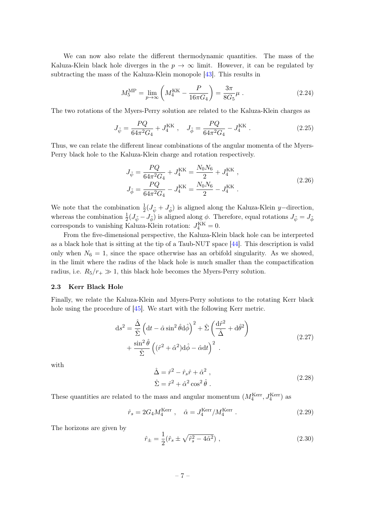We can now also relate the different thermodynamic quantities. The mass of the Kaluza-Klein black hole diverges in the  $p \to \infty$  limit. However, it can be regulated by subtracting the mass of the Kaluza-Klein monopole [\[43\]](#page-22-2). This results in

$$
M_5^{\text{MP}} = \lim_{p \to \infty} \left( M_4^{\text{KK}} - \frac{P}{16\pi G_4} \right) = \frac{3\pi}{8G_5} \mu \tag{2.24}
$$

The two rotations of the Myers-Perry solution are related to the Kaluza-Klein charges as

$$
J_{\tilde{\psi}} = \frac{PQ}{64\pi^2 G_4} + J_4^{\text{KK}} \ , \quad J_{\tilde{\phi}} = \frac{PQ}{64\pi^2 G_4} - J_4^{\text{KK}} \ . \tag{2.25}
$$

Thus, we can relate the different linear combinations of the angular momenta of the Myers-Perry black hole to the Kaluza-Klein charge and rotation respectively.

<span id="page-7-1"></span>
$$
J_{\tilde{\psi}} = \frac{PQ}{64\pi^2 G_4} + J_4^{\text{KK}} = \frac{N_0 N_6}{2} + J_4^{\text{KK}} ,
$$
  
\n
$$
J_{\tilde{\phi}} = \frac{PQ}{64\pi^2 G_4} - J_4^{\text{KK}} = \frac{N_0 N_6}{2} - J_4^{\text{KK}} .
$$
\n(2.26)

We note that the combination  $\frac{1}{2}(J_{\tilde{\psi}}+J_{\tilde{\phi}})$  is aligned along the Kaluza-Klein y–direction, whereas the combination  $\frac{1}{2}(J_{\tilde{\psi}}-J_{\tilde{\phi}})$  is aligned along  $\phi$ . Therefore, equal rotations  $J_{\tilde{\psi}}=J_{\tilde{\phi}}$ corresponds to vanishing Kaluza-Klein rotation:  $J_4^{\text{KK}} = 0$ .

From the five-dimensional perspective, the Kaluza-Klein black hole can be interpreted as a black hole that is sitting at the tip of a Taub-NUT space [\[44\]](#page-22-3). This description is valid only when  $N_6 = 1$ , since the space otherwise has an orbifold singularity. As we showed, in the limit where the radius of the black hole is much smaller than the compactification radius, i.e.  $R_5/r_+ \gg 1$ , this black hole becomes the Myers-Perry solution.

## <span id="page-7-0"></span>2.3 Kerr Black Hole

Finally, we relate the Kaluza-Klein and Myers-Perry solutions to the rotating Kerr black hole using the procedure of [\[45\]](#page-22-4). We start with the following Kerr metric.

$$
ds^{2} = \frac{\hat{\Delta}}{\hat{\Sigma}} \left( dt - \hat{\alpha} \sin^{2} \hat{\theta} d\hat{\phi} \right)^{2} + \hat{\Sigma} \left( \frac{d\hat{r}^{2}}{\hat{\Delta}} + d\hat{\theta}^{2} \right) + \frac{\sin^{2} \hat{\theta}}{\hat{\Sigma}} \left( (\hat{r}^{2} + \hat{\alpha}^{2}) d\hat{\phi} - \hat{\alpha} dt \right)^{2}.
$$
 (2.27)

with

$$
\hat{\Delta} = \hat{r}^2 - \hat{r}_s \hat{r} + \hat{\alpha}^2 ,
$$
  
\n
$$
\hat{\Sigma} = \hat{r}^2 + \hat{\alpha}^2 \cos^2 \hat{\theta} .
$$
\n(2.28)

These quantities are related to the mass and angular momentum  $(M_4^{\text{Kerr}}, J_4^{\text{Kerr}})$  as

$$
\hat{r}_s = 2G_4 M_4^{\text{Kerr}} \ , \quad \hat{\alpha} = J_4^{\text{Kerr}} / M_4^{\text{Kerr}} \ . \tag{2.29}
$$

The horizons are given by

$$
\hat{r}_{\pm} = \frac{1}{2} (\hat{r}_s \pm \sqrt{\hat{r}_s^2 - 4\hat{\alpha}^2}) , \qquad (2.30)
$$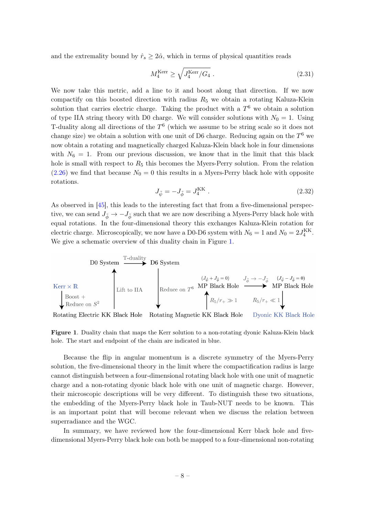and the extremality bound by  $\hat{r}_s \geq 2\hat{\alpha}$ , which in terms of physical quantities reads

$$
M_4^{\text{Kerr}} \ge \sqrt{J_4^{\text{Kerr}}/G_4} \tag{2.31}
$$

We now take this metric, add a line to it and boost along that direction. If we now compactify on this boosted direction with radius  $R_5$  we obtain a rotating Kaluza-Klein solution that carries electric charge. Taking the product with a  $T<sup>6</sup>$  we obtain a solution of type IIA string theory with D0 charge. We will consider solutions with  $N_0 = 1$ . Using T-duality along all directions of the  $T^6$  (which we assume to be string scale so it does not change size) we obtain a solution with one unit of D6 charge. Reducing again on the  $T^6$  we now obtain a rotating and magnetically charged Kaluza-Klein black hole in four dimensions with  $N_6 = 1$ . From our previous discussion, we know that in the limit that this black hole is small with respect to  $R_5$  this becomes the Myers-Perry solution. From the relation  $(2.26)$  we find that because  $N_0 = 0$  this results in a Myers-Perry black hole with opposite rotations.

$$
J_{\tilde{\psi}} = -J_{\tilde{\phi}} = J_4^{\text{KK}} . \tag{2.32}
$$

As observed in [\[45\]](#page-22-4), this leads to the interesting fact that from a five-dimensional perspective, we can send  $J_{\tilde{\phi}} \to -J_{\tilde{\phi}}$  such that we are now describing a Myers-Perry black hole with equal rotations. In the four-dimensional theory this exchanges Kaluza-Klein rotation for electric charge. Microscopically, we now have a D0-D6 system with  $N_6 = 1$  and  $N_0 = 2J_4^{\text{KK}}$ . We give a schematic overview of this duality chain in Figure [1.](#page-8-0)



Rotating Electric KK Black Hole Rotating Magnetic KK Black Hole Dyonic KK Black Hole

<span id="page-8-0"></span>Figure 1. Duality chain that maps the Kerr solution to a non-rotating dyonic Kaluza-Klein black hole. The start and endpoint of the chain are indicated in blue.

Because the flip in angular momentum is a discrete symmetry of the Myers-Perry solution, the five-dimensional theory in the limit where the compactification radius is large cannot distinguish between a four-dimensional rotating black hole with one unit of magnetic charge and a non-rotating dyonic black hole with one unit of magnetic charge. However, their microscopic descriptions will be very different. To distinguish these two situations, the embedding of the Myers-Perry black hole in Taub-NUT needs to be known. This is an important point that will become relevant when we discuss the relation between superradiance and the WGC.

In summary, we have reviewed how the four-dimensional Kerr black hole and fivedimensional Myers-Perry black hole can both be mapped to a four-dimensional non-rotating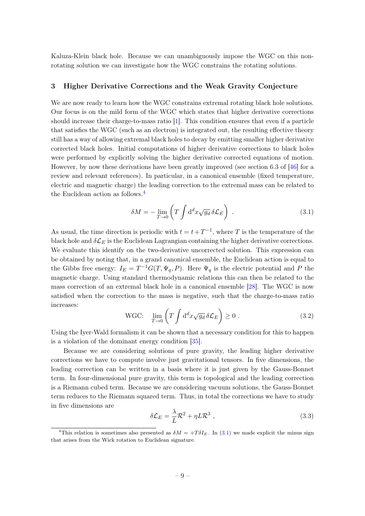Kaluza-Klein black hole. Because we can unambiguously impose the WGC on this nonrotating solution we can investigate how the WGC constrains the rotating solutions.

## <span id="page-9-0"></span>3 Higher Derivative Corrections and the Weak Gravity Conjecture

We are now ready to learn how the WGC constrains extremal rotating black hole solutions. Our focus is on the mild form of the WGC which states that higher derivative corrections should increase their charge-to-mass ratio [\[1\]](#page-19-0). This condition ensures that even if a particle that satisfies the WGC (such as an electron) is integrated out, the resulting effective theory still has a way of allowing extremal black holes to decay by emitting smaller higher derivative corrected black holes. Initial computations of higher derivative corrections to black holes were performed by explicitly solving the higher derivative corrected equations of motion. However, by now these derivations have been greatly improved (see section 6.3 of [\[46\]](#page-22-5) for a review and relevant references). In particular, in a canonical ensemble (fixed temperature, electric and magnetic charge) the leading correction to the extremal mass can be related to the Euclidean action as follows.<sup>[4](#page-9-1)</sup>

<span id="page-9-2"></span>
$$
\delta M = -\lim_{T \to 0} \left( T \int d^d x \sqrt{g_d} \, \delta \mathcal{L}_E \right) \,. \tag{3.1}
$$

As usual, the time direction is periodic with  $t = t + T^{-1}$ , where T is the temperature of the black hole and  $\delta \mathcal{L}_E$  is the Euclidean Lagrangian containing the higher derivative corrections. We evaluate this identify on the two-derivative uncorrected solution. This expression can be obtained by noting that, in a grand canonical ensemble, the Euclidean action is equal to the Gibbs free energy:  $I_E = T^{-1}G(T, \Psi_q, P)$ . Here  $\Psi_q$  is the electric potential and P the magnetic charge. Using standard thermodynamic relations this can then be related to the mass correction of an extremal black hole in a canonical ensemble [\[28\]](#page-21-3). The WGC is now satisfied when the correction to the mass is negative, such that the charge-to-mass ratio increases:

WGC: 
$$
\lim_{T \to 0} \left( T \int d^d x \sqrt{g_d} \, \delta \mathcal{L}_E \right) \ge 0 \,. \tag{3.2}
$$

Using the Iyer-Wald formalism it can be shown that a necessary condition for this to happen is a violation of the dominant energy condition [\[35\]](#page-21-9).

Because we are considering solutions of pure gravity, the leading higher derivative corrections we have to compute involve just gravitational tensors. In five dimensions, the leading correction can be written in a basis where it is just given by the Gauss-Bonnet term. In four-dimensional pure gravity, this term is topological and the leading correction is a Riemann cubed term. Because we are considering vacuum solutions, the Gauss-Bonnet term reduces to the Riemann squared term. Thus, in total the corrections we have to study in five dimensions are

<span id="page-9-3"></span>
$$
\delta \mathcal{L}_E = \frac{\lambda}{L} \mathcal{R}^2 + \eta L \mathcal{R}^3 \,, \tag{3.3}
$$

<span id="page-9-1"></span><sup>&</sup>lt;sup>4</sup>This relation is sometimes also presented as  $\delta M = +T \delta I_E$ . In [\(3.1\)](#page-9-2) we made explicit the minus sign that arises from the Wick rotation to Euclidean signature.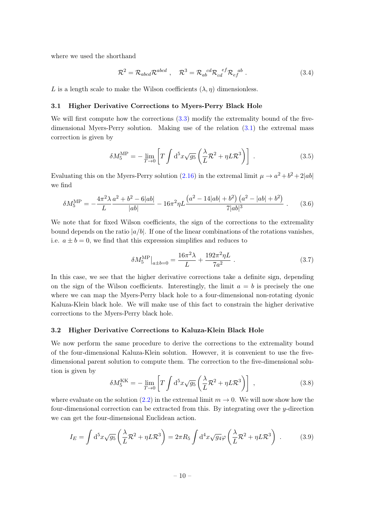where we used the shorthand

$$
\mathcal{R}^2 = \mathcal{R}_{abcd} \mathcal{R}^{abcd} , \quad \mathcal{R}^3 = \mathcal{R}_{ab}{}^{cd} \mathcal{R}_{cd}{}^{ef} \mathcal{R}_{ef}{}^{ab} . \tag{3.4}
$$

L is a length scale to make the Wilson coefficients  $(\lambda, \eta)$  dimensionless.

## <span id="page-10-0"></span>3.1 Higher Derivative Corrections to Myers-Perry Black Hole

We will first compute how the corrections  $(3.3)$  modify the extremality bound of the fivedimensional Myers-Perry solution. Making use of the relation [\(3.1\)](#page-9-2) the extremal mass correction is given by

$$
\delta M_5^{\text{MP}} = -\lim_{T \to 0} \left[ T \int d^5 x \sqrt{g_5} \left( \frac{\lambda}{L} \mathcal{R}^2 + \eta L \mathcal{R}^3 \right) \right] \,. \tag{3.5}
$$

Evaluating this on the Myers-Perry solution [\(2.16\)](#page-5-1) in the extremal limit  $\mu \to a^2 + b^2 + 2|ab|$ we find

$$
\delta M_5^{\rm MP} = -\frac{4\pi^2 \lambda}{L} \frac{a^2 + b^2 - 6|ab|}{|ab|} - 16\pi^2 \eta L \frac{\left(a^2 - 14|ab| + b^2\right)\left(a^2 - |ab| + b^2\right)}{7|ab|^3} \,. \tag{3.6}
$$

We note that for fixed Wilson coefficients, the sign of the corrections to the extremality bound depends on the ratio  $|a/b|$ . If one of the linear combinations of the rotations vanishes, i.e.  $a \pm b = 0$ , we find that this expression simplifies and reduces to

<span id="page-10-2"></span>
$$
\delta M_5^{\rm MP}\big|_{a \pm b = 0} = \frac{16\pi^2 \lambda}{L} + \frac{192\pi^2 \eta L}{7a^2} \ . \tag{3.7}
$$

In this case, we see that the higher derivative corrections take a definite sign, depending on the sign of the Wilson coefficients. Interestingly, the limit  $a = b$  is precisely the one where we can map the Myers-Perry black hole to a four-dimensional non-rotating dyonic Kaluza-Klein black hole. We will make use of this fact to constrain the higher derivative corrections to the Myers-Perry black hole.

#### <span id="page-10-1"></span>3.2 Higher Derivative Corrections to Kaluza-Klein Black Hole

We now perform the same procedure to derive the corrections to the extremality bound of the four-dimensional Kaluza-Klein solution. However, it is convenient to use the fivedimensional parent solution to compute them. The correction to the five-dimensional solution is given by

$$
\delta M_5^{\rm KK} = -\lim_{T \to 0} \left[ T \int d^5 x \sqrt{g_5} \left( \frac{\lambda}{L} \mathcal{R}^2 + \eta L \mathcal{R}^3 \right) \right] , \qquad (3.8)
$$

where evaluate on the solution [\(2.2\)](#page-3-2) in the extremal limit  $m \to 0$ . We will now show how the four-dimensional correction can be extracted from this. By integrating over the  $y$ -direction we can get the four-dimensional Euclidean action.

$$
I_E = \int d^5 x \sqrt{g_5} \left( \frac{\lambda}{L} \mathcal{R}^2 + \eta L \mathcal{R}^3 \right) = 2\pi R_5 \int d^4 x \sqrt{g_4} \varphi \left( \frac{\lambda}{L} \mathcal{R}^2 + \eta L \mathcal{R}^3 \right) . \tag{3.9}
$$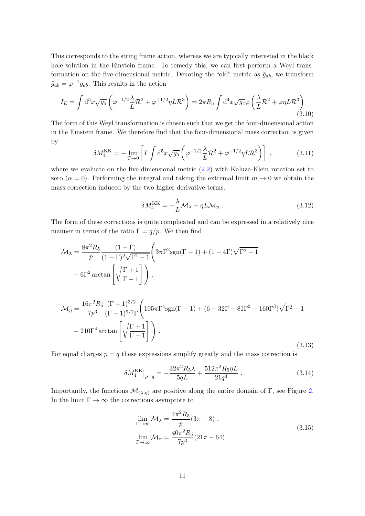This corresponds to the string frame action, whereas we are typically interested in the black hole solution in the Einstein frame. To remedy this, we can first perform a Weyl transformation on the five-dimensional metric. Denoting the "old" metric as  $\tilde{g}_{ab}$ , we transform  $\tilde{g}_{ab} = \varphi^{-1} g_{ab}$ . This results in the action

$$
I_E = \int d^5x \sqrt{g_5} \left( \varphi^{-1/2} \frac{\lambda}{L} \mathcal{R}^2 + \varphi^{+1/2} \eta L \mathcal{R}^3 \right) = 2\pi R_5 \int d^4x \sqrt{g_4} \varphi \left( \frac{\lambda}{L} \mathcal{R}^2 + \varphi \eta L \mathcal{R}^3 \right)
$$
\n(3.10)

The form of this Weyl transformation is chosen such that we get the four-dimensional action in the Einstein frame. We therefore find that the four-dimensional mass correction is given by

$$
\delta M_4^{\rm KK} = -\lim_{T \to 0} \left[ T \int d^5 x \sqrt{g_5} \left( \varphi^{-1/2} \frac{\lambda}{L} \mathcal{R}^2 + \varphi^{+1/2} \eta L \mathcal{R}^3 \right) \right] , \qquad (3.11)
$$

where we evaluate on the five-dimensional metric [\(2.2\)](#page-3-2) with Kaluza-Klein rotation set to zero ( $\alpha = 0$ ). Performing the integral and taking the extremal limit  $m \to 0$  we obtain the mass correction induced by the two higher derivative terms.

$$
\delta M_4^{\rm KK} = -\frac{\lambda}{L} \mathcal{M}_{\lambda} + \eta L \mathcal{M}_{\eta} . \qquad (3.12)
$$

The form of these corrections is quite complicated and can be expressed in a relatively nice manner in terms of the ratio  $\Gamma = q/p$ . We then find

$$
\mathcal{M}_{\lambda} = \frac{8\pi^2 R_5}{p} \frac{(1+\Gamma)}{(1-\Gamma)^2 \sqrt{\Gamma^2 - 1}} \left( 3\pi \Gamma^2 \text{sgn}(\Gamma - 1) + (1 - 4\Gamma) \sqrt{\Gamma^2 - 1} - 6\Gamma^2 \arctan\left[\sqrt{\frac{\Gamma + 1}{\Gamma - 1}}\right] \right),
$$

<span id="page-11-0"></span>
$$
\mathcal{M}_{\eta} = \frac{16\pi^2 R_5}{7p^3} \frac{(\Gamma + 1)^{3/2}}{(\Gamma - 1)^{9/2}\Gamma} \left( 105\pi \Gamma^4 \text{sgn}(\Gamma - 1) + (6 - 32\Gamma + 81\Gamma^2 - 160\Gamma^3) \sqrt{\Gamma^2 - 1} - 210\Gamma^4 \arctan\left[ \sqrt{\frac{\Gamma + 1}{\Gamma - 1}} \right] \right).
$$
\n(3.13)

For equal charges  $p = q$  these expressions simplify greatly and the mass correction is

$$
\delta M_4^{\rm KK}\big|_{p=q} = -\frac{32\pi^2 R_5 \lambda}{5qL} + \frac{512\pi^2 R_5 \eta L}{21q^3} \,. \tag{3.14}
$$

Importantly, the functions  $\mathcal{M}_{(\lambda,\eta)}$  are positive along the entire domain of Γ, see Figure [2.](#page-12-1) In the limit  $\Gamma \to \infty$  the corrections asymptote to

$$
\lim_{\Gamma \to \infty} \mathcal{M}_{\lambda} = \frac{4\pi^2 R_5}{p} (3\pi - 8) ,
$$
\n
$$
\lim_{\Gamma \to \infty} \mathcal{M}_{\eta} = \frac{40\pi^2 R_5}{7p^3} (21\pi - 64) .
$$
\n(3.15)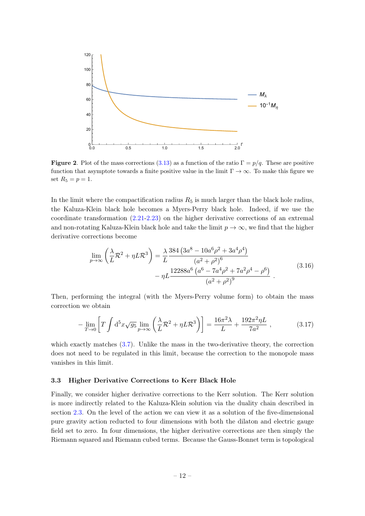

<span id="page-12-1"></span>**Figure 2.** Plot of the mass corrections [\(3.13\)](#page-11-0) as a function of the ratio  $\Gamma = p/q$ . These are positive function that asymptote towards a finite positive value in the limit  $\Gamma \to \infty$ . To make this figure we set  $R_5 = p = 1$ .

In the limit where the compactification radius  $R_5$  is much larger than the black hole radius, the Kaluza-Klein black hole becomes a Myers-Perry black hole. Indeed, if we use the coordinate transformation [\(2.21](#page-6-0)[-2.23\)](#page-6-1) on the higher derivative corrections of an extremal and non-rotating Kaluza-Klein black hole and take the limit  $p \to \infty$ , we find that the higher derivative corrections become

$$
\lim_{p \to \infty} \left( \frac{\lambda}{L} \mathcal{R}^2 + \eta L \mathcal{R}^3 \right) = \frac{\lambda}{L} \frac{384 \left( 3a^8 - 10a^6 \rho^2 + 3a^4 \rho^4 \right)}{(a^2 + \rho^2)^6} - \eta L \frac{12288a^6 \left( a^6 - 7a^4 \rho^2 + 7a^2 \rho^4 - \rho^6 \right)}{(a^2 + \rho^2)^9} \,. \tag{3.16}
$$

Then, performing the integral (with the Myers-Perry volume form) to obtain the mass correction we obtain

$$
-\lim_{T \to 0} \left[ T \int d^5 x \sqrt{g_5} \lim_{p \to \infty} \left( \frac{\lambda}{L} \mathcal{R}^2 + \eta L \mathcal{R}^3 \right) \right] = \frac{16\pi^2 \lambda}{L} + \frac{192\pi^2 \eta L}{7a^2} ,\qquad (3.17)
$$

which exactly matches [\(3.7\)](#page-10-2). Unlike the mass in the two-derivative theory, the correction does not need to be regulated in this limit, because the correction to the monopole mass vanishes in this limit.

## <span id="page-12-0"></span>3.3 Higher Derivative Corrections to Kerr Black Hole

Finally, we consider higher derivative corrections to the Kerr solution. The Kerr solution is more indirectly related to the Kaluza-Klein solution via the duality chain described in section [2.3.](#page-7-0) On the level of the action we can view it as a solution of the five-dimensional pure gravity action reducted to four dimensions with both the dilaton and electric gauge field set to zero. In four dimensions, the higher derivative corrections are then simply the Riemann squared and Riemann cubed terms. Because the Gauss-Bonnet term is topological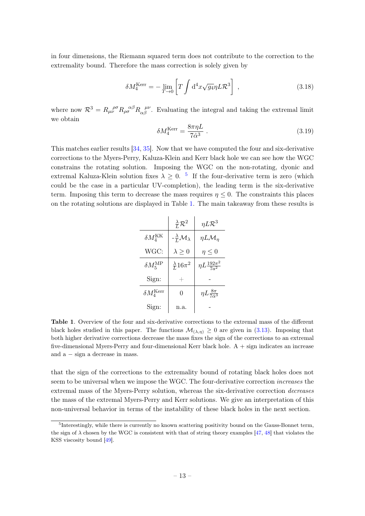in four dimensions, the Riemann squared term does not contribute to the correction to the extremality bound. Therefore the mass correction is solely given by

$$
\delta M_4^{\text{Kerr}} = -\lim_{T \to 0} \left[ T \int d^4x \sqrt{g_4} \eta L \mathcal{R}^3 \right] \,, \tag{3.18}
$$

where now  $\mathcal{R}^3 = R_{\mu\nu}^{\ \rho\sigma} R_{\rho\sigma}^{\ \alpha\beta} R_{\alpha\beta}^{\ \mu\nu}$ . Evaluating the integral and taking the extremal limit we obtain

$$
\delta M_4^{\text{Kerr}} = \frac{8\pi\eta L}{7\hat{\alpha}^3} \tag{3.19}
$$

This matches earlier results [\[34,](#page-21-16) [35\]](#page-21-9). Now that we have computed the four and six-derivative corrections to the Myers-Perry, Kaluza-Klein and Kerr black hole we can see how the WGC constrains the rotating solution. Imposing the WGC on the non-rotating, dyonic and extremal Kaluza-Klein solution fixes  $\lambda \geq 0$ . <sup>[5](#page-13-0)</sup> If the four-derivative term is zero (which could be the case in a particular UV-completion), the leading term is the six-derivative term. Imposing this term to decrease the mass requires  $\eta \leq 0$ . The constraints this places on the rotating solutions are displayed in Table [1.](#page-13-1) The main takeaway from these results is

|                            | $\frac{\lambda}{L}R^2$                    | $\eta L \mathcal{R}^3$                |
|----------------------------|-------------------------------------------|---------------------------------------|
| $\delta M_4^{\rm KK}$      | $-\frac{\lambda}{L}\mathcal{M}_{\lambda}$ | $\eta L \mathcal{M}_\eta$             |
| WGC:                       | $\lambda \geq 0$                          | $\eta \leq 0$                         |
| $\delta M_5^{\mathrm{MP}}$ | $\frac{\lambda}{L} 16\pi^2$               | $\eta L \frac{192\pi^2}{7\pi^2}$      |
| Sign:                      |                                           |                                       |
| $\delta M_4^\mathrm{Kerr}$ | 0                                         | $\eta L \frac{8\pi}{7\hat{\alpha}^3}$ |
| Sign:                      | n.a.                                      |                                       |

<span id="page-13-1"></span>Table 1. Overview of the four and six-derivative corrections to the extremal mass of the different black holes studied in this paper. The functions  $\mathcal{M}_{(\lambda,\eta)} \geq 0$  are given in [\(3.13\)](#page-11-0). Imposing that both higher derivative corrections decrease the mass fixes the sign of the corrections to an extremal five-dimensional Myers-Perry and four-dimensional Kerr black hole.  $A + sign$  indicates an increase and a − sign a decrease in mass.

that the sign of the corrections to the extremality bound of rotating black holes does not seem to be universal when we impose the WGC. The four-derivative correction *increases* the extremal mass of the Myers-Perry solution, whereas the six-derivative correction decreases the mass of the extremal Myers-Perry and Kerr solutions. We give an interpretation of this non-universal behavior in terms of the instability of these black holes in the next section.

<span id="page-13-0"></span><sup>&</sup>lt;sup>5</sup>Interestingly, while there is currently no known scattering positivity bound on the Gauss-Bonnet term, the sign of  $\lambda$  chosen by the WGC is consistent with that of string theory examples [\[47,](#page-22-6) [48\]](#page-22-7) that violates the KSS viscosity bound [\[49\]](#page-22-8).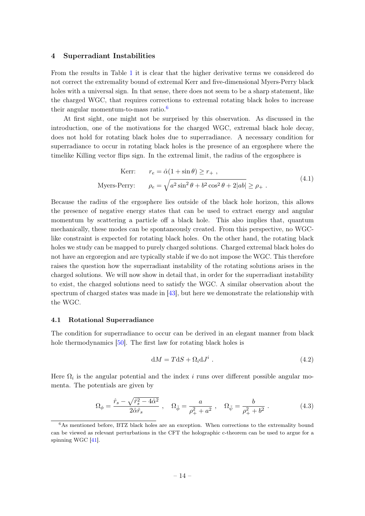## <span id="page-14-0"></span>4 Superradiant Instabilities

From the results in Table [1](#page-13-1) it is clear that the higher derivative terms we considered do not correct the extremality bound of extremal Kerr and five-dimensional Myers-Perry black holes with a universal sign. In that sense, there does not seem to be a sharp statement, like the charged WGC, that requires corrections to extremal rotating black holes to increase their angular momentum-to-mass ratio.<sup>[6](#page-14-2)</sup>

At first sight, one might not be surprised by this observation. As discussed in the introduction, one of the motivations for the charged WGC, extremal black hole decay, does not hold for rotating black holes due to superradiance. A necessary condition for superradiance to occur in rotating black holes is the presence of an ergosphere where the timelike Killing vector flips sign. In the extremal limit, the radius of the ergosphere is

$$
\text{Kerr:} \qquad r_e = \hat{\alpha}(1 + \sin \theta) \ge r_+,
$$
\n
$$
\text{Myers-Perry:} \qquad \rho_e = \sqrt{a^2 \sin^2 \theta + b^2 \cos^2 \theta + 2|ab|} \ge \rho_+ \,. \tag{4.1}
$$

Because the radius of the ergosphere lies outside of the black hole horizon, this allows the presence of negative energy states that can be used to extract energy and angular momentum by scattering a particle off a black hole. This also implies that, quantum mechanically, these modes can be spontaneously created. From this perspective, no WGClike constraint is expected for rotating black holes. On the other hand, the rotating black holes we study can be mapped to purely charged solutions. Charged extremal black holes do not have an ergoregion and are typically stable if we do not impose the WGC. This therefore raises the question how the superradiant instability of the rotating solutions arises in the charged solutions. We will now show in detail that, in order for the superradiant instability to exist, the charged solutions need to satisfy the WGC. A similar observation about the spectrum of charged states was made in [\[43\]](#page-22-2), but here we demonstrate the relationship with the WGC.

## <span id="page-14-1"></span>4.1 Rotational Superradiance

The condition for superradiance to occur can be derived in an elegant manner from black hole thermodynamics [\[50\]](#page-22-9). The first law for rotating black holes is

$$
dM = TdS + \Omega_i dJ^i. \qquad (4.2)
$$

Here  $\Omega_i$  is the angular potential and the index i runs over different possible angular momenta. The potentials are given by

$$
\Omega_{\phi} = \frac{\hat{r}_s - \sqrt{\hat{r}_s^2 - 4\hat{\alpha}^2}}{2\hat{\alpha}\hat{r}_s} , \quad \Omega_{\tilde{\phi}} = \frac{a}{\rho_+^2 + a^2} , \quad \Omega_{\tilde{\psi}} = \frac{b}{\rho_+^2 + b^2} . \tag{4.3}
$$

<span id="page-14-2"></span><sup>&</sup>lt;sup>6</sup>As mentioned before, BTZ black holes are an exception. When corrections to the extremality bound can be viewed as relevant perturbations in the CFT the holographic c-theorem can be used to argue for a spinning WGC [\[41\]](#page-22-0).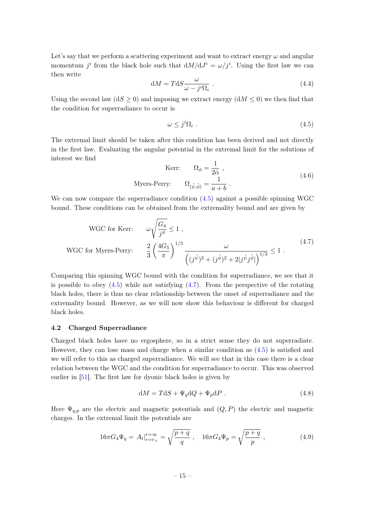Let's say that we perform a scattering experiment and want to extract energy  $\omega$  and angular momentum  $j^i$  from the black hole such that  $dM/dJ^i = \omega/j^i$ . Using the first law we can then write

$$
dM = TdS \frac{\omega}{\omega - j^i \Omega_i} \tag{4.4}
$$

Using the second law  $(dS \geq 0)$  and imposing we extract energy  $(dM \leq 0)$  we then find that the condition for superradiance to occur is

<span id="page-15-1"></span>
$$
\omega \le j^i \Omega_i \tag{4.5}
$$

The extremal limit should be taken after this condition has been derived and not directly in the first law. Evaluating the angular potential in the extremal limit for the solutions of interest we find

$$
\text{Kerr:} \qquad \Omega_{\phi} = \frac{1}{2\hat{\alpha}},
$$
\n
$$
\text{Myers-Perry:} \qquad \Omega_{(\tilde{\psi}, \tilde{\phi})} = \frac{1}{a+b} \tag{4.6}
$$

We can now compare the superradiance condition  $(4.5)$  against a possible spinning WGC bound. These conditions can be obtained from the extremality bound and are given by

<span id="page-15-2"></span>WGC for Kerr: 
$$
\omega \sqrt{\frac{G_4}{j^{\phi}}} \le 1
$$
,  
WGC for Myers-Perry:  $\frac{2}{3} \left(\frac{4G_5}{\pi}\right)^{1/3} \frac{\omega}{\left((j^{\tilde{\psi}})^2 + (j^{\tilde{\phi}})^2 + 2|j^{\tilde{\psi}}j^{\tilde{\phi}}|\right)^{1/3}} \le 1$ . (4.7)

Comparing this spinning WGC bound with the condition for superradiance, we see that it is possible to obey  $(4.5)$  while not satisfying  $(4.7)$ . From the perspective of the rotating black holes, there is thus no clear relationship between the onset of superradiance and the extremality bound. However, as we will now show this behaviour is different for charged black holes.

#### <span id="page-15-0"></span>4.2 Charged Superradiance

Charged black holes have no ergosphere, so in a strict sense they do not superradiate. However, they can lose mass and charge when a similar condition as [\(4.5\)](#page-15-1) is satisfied and we will refer to this as charged superradiance. We will see that in this case there is a clear relation between the WGC and the condition for superradiance to occur. This was observed earlier in [\[51\]](#page-22-10). The first law for dyonic black holes is given by

$$
dM = TdS + \Psi_q dQ + \Psi_p dP. \qquad (4.8)
$$

Here  $\Psi_{q,p}$  are the electric and magnetic potentials and  $(Q, P)$  the electric and magnetic charges. In the extremal limit the potentials are

$$
16\pi G_4 \Psi_q = A_t|_{r=r_+}^{r=\infty} = \sqrt{\frac{p+q}{q}} \ , \quad 16\pi G_4 \Psi_p = \sqrt{\frac{p+q}{p}} \ , \tag{4.9}
$$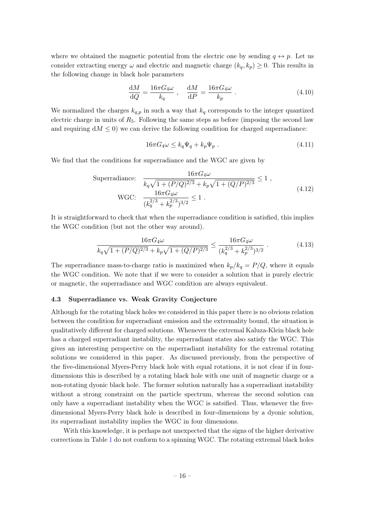where we obtained the magnetic potential from the electric one by sending  $q \leftrightarrow p$ . Let us consider extracting energy  $\omega$  and electric and magnetic charge  $(k_q, k_p) \geq 0$ . This results in the following change in black hole parameters

$$
\frac{\mathrm{d}M}{\mathrm{d}Q} = \frac{16\pi G_4\omega}{k_q} \ , \quad \frac{\mathrm{d}M}{\mathrm{d}P} = \frac{16\pi G_4\omega}{k_p} \ . \tag{4.10}
$$

We normalized the charges  $k_{q,p}$  in such a way that  $k_q$  corresponds to the integer quantized electric charge in units of  $R_5$ . Following the same steps as before (imposing the second law and requiring  $dM \leq 0$ ) we can derive the following condition for charged superradiance:

$$
16\pi G_4 \omega \le k_q \Psi_q + k_p \Psi_p \tag{4.11}
$$

We find that the conditions for superradiance and the WGC are given by

Superradiance: 
$$
\frac{16\pi G_4\omega}{k_q\sqrt{1 + (P/Q)^{2/3}} + k_p\sqrt{1 + (Q/P)^{2/3}}} \le 1,
$$
  
WGC: 
$$
\frac{16\pi G_4\omega}{(k_q^{2/3} + k_p^{2/3})^{3/2}} \le 1.
$$
 (4.12)

It is straightforward to check that when the superradiance condition is satisfied, this implies the WGC condition (but not the other way around).

$$
\frac{16\pi G_4\omega}{k_q\sqrt{1 + (P/Q)^{2/3}} + k_p\sqrt{1 + (Q/P)^{2/3}}} \le \frac{16\pi G_4\omega}{(k_q^{2/3} + k_p^{2/3})^{3/2}}.
$$
\n(4.13)

The superradiance mass-to-charge ratio is maximized when  $k_p/k_q = P/Q$ , where it equals the WGC condition. We note that if we were to consider a solution that is purely electric or magnetic, the superradiance and WGC condition are always equivalent.

## <span id="page-16-0"></span>4.3 Superradiance vs. Weak Gravity Conjecture

Although for the rotating black holes we considered in this paper there is no obvious relation between the condition for superradiant emission and the extremality bound, the situation is qualitatively different for charged solutions. Whenever the extremal Kaluza-Klein black hole has a charged superradiant instability, the superradiant states also satisfy the WGC. This gives an interesting perspective on the superradiant instability for the extremal rotating solutions we considered in this paper. As discussed previously, from the perspective of the five-dimensional Myers-Perry black hole with equal rotations, it is not clear if in fourdimensions this is described by a rotating black hole with one unit of magnetic charge or a non-rotating dyonic black hole. The former solution naturally has a superradiant instability without a strong constraint on the particle spectrum, whereas the second solution can only have a superradiant instability when the WGC is satsified. Thus, whenever the fivedimensional Myers-Perry black hole is described in four-dimensions by a dyonic solution, its superradiant instability implies the WGC in four dimensions.

With this knowledge, it is perhaps not unexpected that the signs of the higher derivative corrections in Table [1](#page-13-1) do not conform to a spinning WGC. The rotating extremal black holes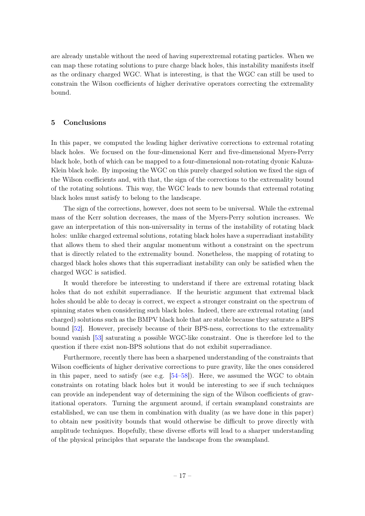are already unstable without the need of having superextremal rotating particles. When we can map these rotating solutions to pure charge black holes, this instability manifests itself as the ordinary charged WGC. What is interesting, is that the WGC can still be used to constrain the Wilson coefficients of higher derivative operators correcting the extremality bound.

## <span id="page-17-0"></span>5 Conclusions

In this paper, we computed the leading higher derivative corrections to extremal rotating black holes. We focused on the four-dimensional Kerr and five-dimensional Myers-Perry black hole, both of which can be mapped to a four-dimensional non-rotating dyonic Kaluza-Klein black hole. By imposing the WGC on this purely charged solution we fixed the sign of the Wilson coefficients and, with that, the sign of the corrections to the extremality bound of the rotating solutions. This way, the WGC leads to new bounds that extremal rotating black holes must satisfy to belong to the landscape.

The sign of the corrections, however, does not seem to be universal. While the extremal mass of the Kerr solution decreases, the mass of the Myers-Perry solution increases. We gave an interpretation of this non-universality in terms of the instability of rotating black holes: unlike charged extremal solutions, rotating black holes have a superradiant instability that allows them to shed their angular momentum without a constraint on the spectrum that is directly related to the extremality bound. Nonetheless, the mapping of rotating to charged black holes shows that this superradiant instability can only be satisfied when the charged WGC is satisfied.

It would therefore be interesting to understand if there are extremal rotating black holes that do not exhibit superradiance. If the heuristic argument that extremal black holes should be able to decay is correct, we expect a stronger constraint on the spectrum of spinning states when considering such black holes. Indeed, there are extremal rotating (and charged) solutions such as the BMPV black hole that are stable because they saturate a BPS bound [\[52\]](#page-22-11). However, precisely because of their BPS-ness, corrections to the extremality bound vanish [\[53\]](#page-22-12) saturating a possible WGC-like constraint. One is therefore led to the question if there exist non-BPS solutions that do not exhibit superradiance.

Furthermore, recently there has been a sharpened understanding of the constraints that Wilson coefficients of higher derivative corrections to pure gravity, like the ones considered in this paper, need to satisfy (see e.g.  $[54–58]$  $[54–58]$ ). Here, we assumed the WGC to obtain constraints on rotating black holes but it would be interesting to see if such techniques can provide an independent way of determining the sign of the Wilson coefficients of gravitational operators. Turning the argument around, if certain swampland constraints are established, we can use them in combination with duality (as we have done in this paper) to obtain new positivity bounds that would otherwise be difficult to prove directly with amplitude techniques. Hopefully, these diverse efforts will lead to a sharper understanding of the physical principles that separate the landscape from the swampland.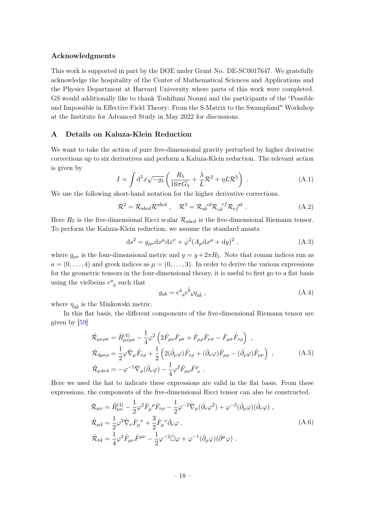## Acknowledgments

This work is supported in part by the DOE under Grant No. DE-SC0017647. We gratefully acknowledge the hospitality of the Center of Mathematical Sciences and Applications and the Physics Department at Harvard University where parts of this work were completed. GS would additionally like to thank Toshifumi Noumi and the participants of the "Possible and Impossible in Effective Field Theory: From the S-Matrix to the Swampland" Workshop at the Institute for Advanced Study in May 2022 for discussions.

# <span id="page-18-0"></span>A Details on Kaluza-Klein Reduction

We want to take the action of pure five-dimensional gravity perturbed by higher derivative corrections up to six derivatives and perform a Kaluza-Klein reduction. The relevant action is given by

$$
I = \int d^5x \sqrt{-g_5} \left( \frac{R_5}{16\pi G_5} + \frac{\lambda}{L} \mathcal{R}^2 + \eta L \mathcal{R}^3 \right) . \tag{A.1}
$$

We use the following short-hand notation for the higher derivative corrections.

$$
\mathcal{R}^2 = \mathcal{R}_{abcd} \mathcal{R}^{abcd} , \quad \mathcal{R}^3 = \mathcal{R}_{ab}{}^{cd} \mathcal{R}_{cd}{}^{ef} \mathcal{R}_{ef}{}^{ab} . \tag{A.2}
$$

Here  $R_5$  is the five-dimensional Ricci scalar  $\mathcal{R}_{abcd}$  is the five-dimensional Riemann tensor. To perform the Kaluza-Klein reduction, we assume the standard ansatz

$$
ds2 = g\mu\nu dx\mu dx\nu + \varphi2 (A\mu dx\mu + dy)2,
$$
 (A.3)

where  $g_{\mu\nu}$  is the four-dimensional metric and  $y = y + 2\pi R_5$ . Note that roman indices run as  $a = (0, \ldots, 4)$  and greek indices as  $\mu = (0, \ldots, 3)$ . In order to derive the various expressions for the geometric tensors in the four-dimensional theory, it is useful to first go to a flat basis using the vielbeins  $e^a_{\ \hat{a}}$  such that

$$
g_{ab} = e^{\hat{a}}{}_{a}e^{\hat{b}}{}_{b}\eta_{\hat{a}\hat{b}} \tag{A.4}
$$

where  $\eta_{\hat{a}\hat{b}}$  is the Minkowski metric.

In this flat basis, the different components of the five-dimensional Riemann tensor are given by [\[59\]](#page-22-15)

<span id="page-18-1"></span>
$$
\hat{\mathcal{R}}_{\mu\nu\rho\sigma} = \hat{R}^{(4)}_{\mu\nu\rho\sigma} - \frac{1}{4}\varphi^2 \left(2\hat{F}_{\mu\nu}\hat{F}_{\rho\sigma} + \hat{F}_{\mu\rho}\hat{F}_{\nu\sigma} - \hat{F}_{\mu\sigma}\hat{F}_{\nu\rho}\right) ,
$$
\n
$$
\hat{\mathcal{R}}_{4\mu\nu\rho} = \frac{1}{2}\varphi\hat{\nabla}_{\mu}\hat{F}_{\nu\rho} + \frac{1}{2}\left(2(\hat{\partial}_{\mu}\varphi)\hat{F}_{\nu\rho} + (\hat{\partial}_{\nu}\varphi)\hat{F}_{\mu\rho} - (\hat{\partial}_{\rho}\varphi)\hat{F}_{\mu\nu}\right) ,
$$
\n
$$
\hat{\mathcal{R}}_{\mu4\nu4} = -\varphi^{-1}\hat{\nabla}_{\mu}(\hat{\partial}_{\nu}\varphi) - \frac{1}{4}\varphi^2\hat{F}_{\mu\rho}\hat{F}_{\nu}^{\rho} .
$$
\n(A.5)

Here we used the hat to indicate these expressions are valid in the flat basis. From these expressions, the components of the five-dimensional Ricci tensor can also be constructed.

$$
\hat{\mathcal{R}}_{\mu\nu} = \hat{R}^{(4)}_{\mu\nu} - \frac{1}{2} \varphi^2 \hat{F}_{\mu}{}^{\rho} \hat{F}_{\nu\rho} - \frac{1}{2} \varphi^{-2} \hat{\nabla}_{\mu} (\hat{\partial}_{\nu} \varphi^2) + \varphi^{-2} (\hat{\partial}_{\mu} \varphi) (\hat{\partial}_{\nu} \varphi) ,
$$
\n
$$
\hat{\mathcal{R}}_{\mu 4} = \frac{1}{2} \varphi^2 \hat{\nabla}_{\nu} \hat{F}_{\mu}{}^{\nu} + \frac{3}{2} \hat{F}_{\mu}{}^{\nu} \hat{\partial}_{\nu} \varphi ,
$$
\n
$$
\hat{\mathcal{R}}_{44} = \frac{1}{4} \varphi^2 \hat{F}_{\mu\nu} \hat{F}^{\mu\nu} - \frac{1}{2} \varphi^{-2} \hat{\Box} \varphi + \varphi^{-1} (\hat{\partial}_{\mu} \varphi) (\hat{\partial}^{\mu} \varphi) .
$$
\n(A.6)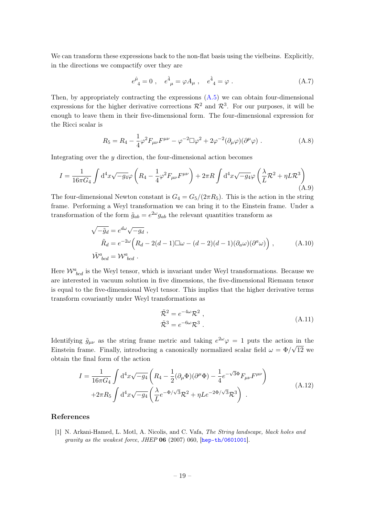We can transform these expressions back to the non-flat basis using the vielbeins. Explicitly, in the directions we compactify over they are

$$
e^{\hat{\mu}}_4 = 0 \ , \quad e^{\hat{4}}_{\ \mu} = \varphi A_{\mu} \ , \quad e^{\hat{4}}_4 = \varphi \ . \tag{A.7}
$$

Then, by appropriately contracting the expressions [\(A.5\)](#page-18-1) we can obtain four-dimensional expressions for the higher derivative corrections  $\mathcal{R}^2$  and  $\mathcal{R}^3$ . For our purposes, it will be enough to leave them in their five-dimensional form. The four-dimensional expression for the Ricci scalar is

$$
R_5 = R_4 - \frac{1}{4}\varphi^2 F_{\mu\nu}F^{\mu\nu} - \varphi^{-2}\Box\varphi^2 + 2\varphi^{-2}(\partial_\mu\varphi)(\partial^\mu\varphi) . \tag{A.8}
$$

Integrating over the  $y$  direction, the four-dimensional action becomes

$$
I = \frac{1}{16\pi G_4} \int d^4x \sqrt{-g_4} \varphi \left( R_4 - \frac{1}{4} \varphi^2 F_{\mu\nu} F^{\mu\nu} \right) + 2\pi R \int d^4x \sqrt{-g_4} \varphi \left( \frac{\lambda}{L} \mathcal{R}^2 + \eta L \mathcal{R}^3 \right) \tag{A.9}
$$

The four-dimensional Newton constant is  $G_4 = G_5/(2\pi R_5)$ . This is the action in the string frame. Performing a Weyl transformation we can bring it to the Einstein frame. Under a transformation of the form  $\tilde{g}_{ab} = e^{2\omega} g_{ab}$  the relevant quantities transform as

$$
\sqrt{-\tilde{g}_d} = e^{d\omega} \sqrt{-g_d} ,
$$
  
\n
$$
\tilde{R}_d = e^{-2\omega} \left( R_d - 2(d-1) \Box \omega - (d-2)(d-1) (\partial_a \omega) (\partial^a \omega) \right) ,
$$
\n
$$
\tilde{W}^a_{bcd} = W^a_{bcd} .
$$
\n(A.10)

Here  $\mathcal{W}^a_{bcd}$  is the Weyl tensor, which is invariant under Weyl transformations. Because we are interested in vacuum solution in five dimensions, the five-dimensional Riemann tensor is equal to the five-dimensional Weyl tensor. This implies that the higher derivative terms transform covariantly under Weyl transformations as

$$
\tilde{\mathcal{R}}^2 = e^{-4\omega} \mathcal{R}^2 ,
$$
\n
$$
\tilde{\mathcal{R}}^3 = e^{-6\omega} \mathcal{R}^3 .
$$
\n(A.11)

Identifying  $\tilde{g}_{\mu\nu}$  as the string frame metric and taking  $e^{2\omega}\varphi = 1$  puts the action in the Einstein frame. Finally, introducing a canonically normalized scalar field  $\omega = \Phi/\sqrt{12}$  we obtain the final form of the action

$$
I = \frac{1}{16\pi G_4} \int d^4x \sqrt{-g_4} \left( R_4 - \frac{1}{2} (\partial_\mu \Phi)(\partial^\mu \Phi) - \frac{1}{4} e^{-\sqrt{3}\Phi} F_{\mu\nu} F^{\mu\nu} \right) + 2\pi R_5 \int d^4x \sqrt{-g_4} \left( \frac{\lambda}{L} e^{-\Phi/\sqrt{3}} \mathcal{R}^2 + \eta L e^{-2\Phi/\sqrt{3}} \mathcal{R}^3 \right) .
$$
 (A.12)

## References

<span id="page-19-0"></span>[1] N. Arkani-Hamed, L. Motl, A. Nicolis, and C. Vafa, The String landscape, black holes and gravity as the weakest force, JHEP 06 (2007) 060, [[hep-th/0601001](http://arxiv.org/abs/hep-th/0601001)].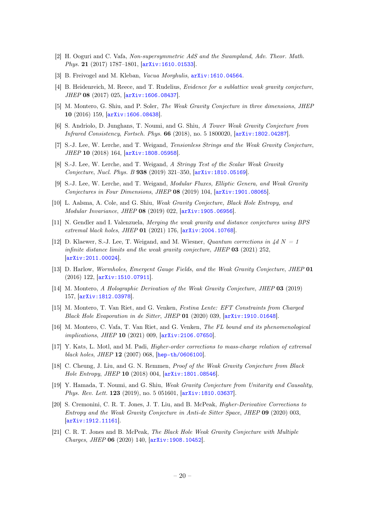- <span id="page-20-0"></span>[2] H. Ooguri and C. Vafa, Non-supersymmetric AdS and the Swampland, Adv. Theor. Math. Phys. 21 (2017) 1787–1801, [[arXiv:1610.01533](http://arxiv.org/abs/1610.01533)].
- <span id="page-20-1"></span>[3] B. Freivogel and M. Kleban, Vacua Morghulis,  $arXiv:1610.04564$ .
- <span id="page-20-2"></span>[4] B. Heidenreich, M. Reece, and T. Rudelius, Evidence for a sublattice weak gravity conjecture, JHEP 08 (2017) 025, [[arXiv:1606.08437](http://arxiv.org/abs/1606.08437)].
- [5] M. Montero, G. Shiu, and P. Soler, The Weak Gravity Conjecture in three dimensions, JHEP 10 (2016) 159, [[arXiv:1606.08438](http://arxiv.org/abs/1606.08438)].
- <span id="page-20-3"></span>[6] S. Andriolo, D. Junghans, T. Noumi, and G. Shiu, A Tower Weak Gravity Conjecture from Infrared Consistency, Fortsch. Phys. 66 (2018), no. 5 1800020, [[arXiv:1802.04287](http://arxiv.org/abs/1802.04287)].
- <span id="page-20-4"></span>[7] S.-J. Lee, W. Lerche, and T. Weigand, Tensionless Strings and the Weak Gravity Conjecture, JHEP 10 (2018) 164, [[arXiv:1808.05958](http://arxiv.org/abs/1808.05958)].
- [8] S.-J. Lee, W. Lerche, and T. Weigand, A Stringy Test of the Scalar Weak Gravity Conjecture, Nucl. Phys. B 938 (2019) 321–350, [[arXiv:1810.05169](http://arxiv.org/abs/1810.05169)].
- [9] S.-J. Lee, W. Lerche, and T. Weigand, Modular Fluxes, Elliptic Genera, and Weak Gravity Conjectures in Four Dimensions, JHEP 08 (2019) 104, [[arXiv:1901.08065](http://arxiv.org/abs/1901.08065)].
- [10] L. Aalsma, A. Cole, and G. Shiu, Weak Gravity Conjecture, Black Hole Entropy, and Modular Invariance, JHEP 08 (2019) 022, [[arXiv:1905.06956](http://arxiv.org/abs/1905.06956)].
- [11] N. Gendler and I. Valenzuela, Merging the weak gravity and distance conjectures using BPS extremal black holes, JHEP 01 (2021) 176, [[arXiv:2004.10768](http://arxiv.org/abs/2004.10768)].
- <span id="page-20-5"></span>[12] D. Klaewer, S.-J. Lee, T. Weigand, and M. Wiesner, *Quantum corrections in 4d N = 1* infinite distance limits and the weak gravity conjecture, JHEP 03 (2021) 252, [[arXiv:2011.00024](http://arxiv.org/abs/2011.00024)].
- <span id="page-20-6"></span>[13] D. Harlow, Wormholes, Emergent Gauge Fields, and the Weak Gravity Conjecture, JHEP 01 (2016) 122, [[arXiv:1510.07911](http://arxiv.org/abs/1510.07911)].
- <span id="page-20-7"></span>[14] M. Montero, A Holographic Derivation of the Weak Gravity Conjecture, JHEP 03 (2019) 157, [[arXiv:1812.03978](http://arxiv.org/abs/1812.03978)].
- <span id="page-20-8"></span>[15] M. Montero, T. Van Riet, and G. Venken, Festina Lente: EFT Constraints from Charged Black Hole Evaporation in de Sitter, JHEP 01 (2020) 039, [[arXiv:1910.01648](http://arxiv.org/abs/1910.01648)].
- <span id="page-20-9"></span>[16] M. Montero, C. Vafa, T. Van Riet, and G. Venken, The FL bound and its phenomenological implications, JHEP 10 (2021) 009, [[arXiv:2106.07650](http://arxiv.org/abs/2106.07650)].
- <span id="page-20-10"></span>[17] Y. Kats, L. Motl, and M. Padi, Higher-order corrections to mass-charge relation of extremal black holes, JHEP 12 (2007) 068, [[hep-th/0606100](http://arxiv.org/abs/hep-th/0606100)].
- [18] C. Cheung, J. Liu, and G. N. Remmen, Proof of the Weak Gravity Conjecture from Black Hole Entropy, JHEP 10 (2018) 004, [[arXiv:1801.08546](http://arxiv.org/abs/1801.08546)].
- <span id="page-20-11"></span>[19] Y. Hamada, T. Noumi, and G. Shiu, Weak Gravity Conjecture from Unitarity and Causality, Phys. Rev. Lett. 123 (2019), no. 5 051601,  $arXiv:1810.03637$ .
- [20] S. Cremonini, C. R. T. Jones, J. T. Liu, and B. McPeak, Higher-Derivative Corrections to Entropy and the Weak Gravity Conjecture in Anti-de Sitter Space, JHEP 09 (2020) 003, [[arXiv:1912.11161](http://arxiv.org/abs/1912.11161)].
- [21] C. R. T. Jones and B. McPeak, The Black Hole Weak Gravity Conjecture with Multiple Charges, JHEP 06 (2020) 140, [[arXiv:1908.10452](http://arxiv.org/abs/1908.10452)].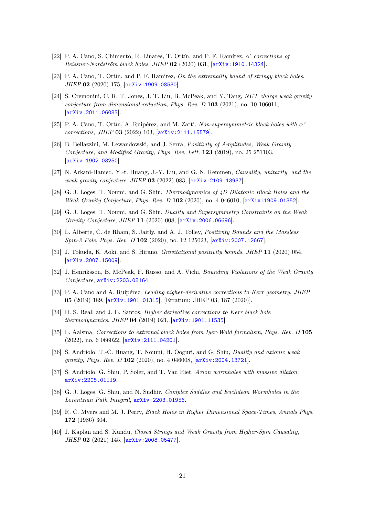- [22] P. A. Cano, S. Chimento, R. Linares, T. Ortín, and P. F. Ramírez,  $\alpha'$  corrections of Reissner-Nordström black holes, JHEP 02 (2020) 031, [[arXiv:1910.14324](http://arxiv.org/abs/1910.14324)].
- [23] P. A. Cano, T. Ortín, and P. F. Ramirez, On the extremality bound of stringy black holes, JHEP 02 (2020) 175, [[arXiv:1909.08530](http://arxiv.org/abs/1909.08530)].
- <span id="page-21-12"></span>[24] S. Cremonini, C. R. T. Jones, J. T. Liu, B. McPeak, and Y. Tang, NUT charge weak gravity conjecture from dimensional reduction, Phys. Rev. D 103 (2021), no. 10 106011, [[arXiv:2011.06083](http://arxiv.org/abs/2011.06083)].
- <span id="page-21-0"></span>[25] P. A. Cano, T. Ortín, A. Ruipérez, and M. Zatti, Non-supersymmetric black holes with  $\alpha'$ corrections, JHEP 03 (2022) 103, [[arXiv:2111.15579](http://arxiv.org/abs/2111.15579)].
- <span id="page-21-1"></span>[26] B. Bellazzini, M. Lewandowski, and J. Serra, Positivity of Amplitudes, Weak Gravity Conjecture, and Modified Gravity, Phys. Rev. Lett. 123 (2019), no. 25 251103, [[arXiv:1902.03250](http://arxiv.org/abs/1902.03250)].
- <span id="page-21-2"></span>[27] N. Arkani-Hamed, Y.-t. Huang, J.-Y. Liu, and G. N. Remmen, Causality, unitarity, and the weak gravity conjecture, JHEP 03 (2022) 083, [[arXiv:2109.13937](http://arxiv.org/abs/2109.13937)].
- <span id="page-21-3"></span>[28] G. J. Loges, T. Noumi, and G. Shiu, Thermodynamics of 4D Dilatonic Black Holes and the Weak Gravity Conjecture, Phys. Rev. D 102 (2020), no. 4 046010, [[arXiv:1909.01352](http://arxiv.org/abs/1909.01352)].
- <span id="page-21-4"></span>[29] G. J. Loges, T. Noumi, and G. Shiu, Duality and Supersymmetry Constraints on the Weak Gravity Conjecture, JHEP 11 (2020) 008, [[arXiv:2006.06696](http://arxiv.org/abs/2006.06696)].
- <span id="page-21-5"></span>[30] L. Alberte, C. de Rham, S. Jaitly, and A. J. Tolley, Positivity Bounds and the Massless Spin-2 Pole, Phys. Rev. D 102 (2020), no. 12 125023, [[arXiv:2007.12667](http://arxiv.org/abs/2007.12667)].
- <span id="page-21-6"></span>[31] J. Tokuda, K. Aoki, and S. Hirano, Gravitational positivity bounds, JHEP 11 (2020) 054, [[arXiv:2007.15009](http://arxiv.org/abs/2007.15009)].
- <span id="page-21-7"></span>[32] J. Henriksson, B. McPeak, F. Russo, and A. Vichi, *Bounding Violations of the Weak Gravity* Conjecture, [arXiv:2203.08164](http://arxiv.org/abs/2203.08164).
- <span id="page-21-8"></span>[33] P. A. Cano and A. Ruipérez, *Leading higher-derivative corrections to Kerr geometry, JHEP* 05 (2019) 189, [[arXiv:1901.01315](http://arxiv.org/abs/1901.01315)]. [Erratum: JHEP 03, 187 (2020)].
- <span id="page-21-16"></span>[34] H. S. Reall and J. E. Santos, *Higher derivative corrections to Kerr black hole* thermodynamics, JHEP 04 (2019) 021, [[arXiv:1901.11535](http://arxiv.org/abs/1901.11535)].
- <span id="page-21-9"></span>[35] L. Aalsma, Corrections to extremal black holes from Iyer-Wald formalism, Phys. Rev. D 105 (2022), no. 6 066022, [[arXiv:2111.04201](http://arxiv.org/abs/2111.04201)].
- <span id="page-21-13"></span>[36] S. Andriolo, T.-C. Huang, T. Noumi, H. Ooguri, and G. Shiu, Duality and axionic weak gravity, Phys. Rev. D 102 (2020), no. 4 046008, [[arXiv:2004.13721](http://arxiv.org/abs/2004.13721)].
- <span id="page-21-14"></span>[37] S. Andriolo, G. Shiu, P. Soler, and T. Van Riet, Axion wormholes with massive dilaton, [arXiv:2205.01119](http://arxiv.org/abs/2205.01119).
- <span id="page-21-15"></span>[38] G. J. Loges, G. Shiu, and N. Sudhir, Complex Saddles and Euclidean Wormholes in the Lorentzian Path Integral, [arXiv:2203.01956](http://arxiv.org/abs/2203.01956).
- <span id="page-21-10"></span>[39] R. C. Myers and M. J. Perry, Black Holes in Higher Dimensional Space-Times, Annals Phys. 172 (1986) 304.
- <span id="page-21-11"></span>[40] J. Kaplan and S. Kundu, Closed Strings and Weak Gravity from Higher-Spin Causality, JHEP 02 (2021) 145, [[arXiv:2008.05477](http://arxiv.org/abs/2008.05477)].